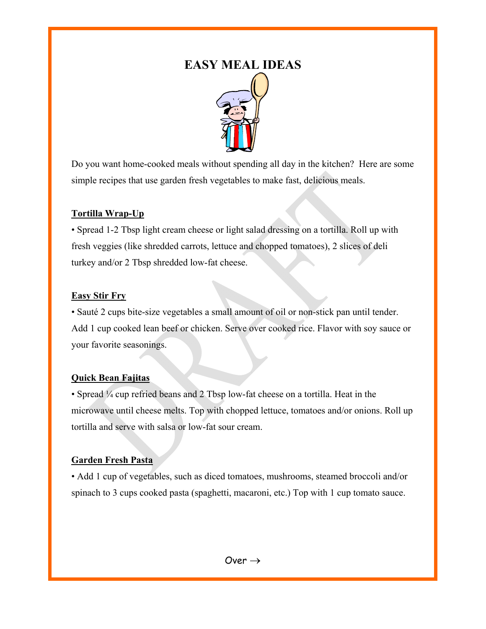# **EASY MEAL IDEAS**



Do you want home-cooked meals without spending all day in the kitchen? Here are some simple recipes that use garden fresh vegetables to make fast, delicious meals.

# **Tortilla Wrap-Up**

• Spread 1-2 Tbsp light cream cheese or light salad dressing on a tortilla. Roll up with fresh veggies (like shredded carrots, lettuce and chopped tomatoes), 2 slices of deli turkey and/or 2 Tbsp shredded low-fat cheese.

## **Easy Stir Fry**

• Sauté 2 cups bite-size vegetables a small amount of oil or non-stick pan until tender. Add 1 cup cooked lean beef or chicken. Serve over cooked rice. Flavor with soy sauce or your favorite seasonings.

# **Quick Bean Fajitas**

• Spread ¼ cup refried beans and 2 Tbsp low-fat cheese on a tortilla. Heat in the microwave until cheese melts. Top with chopped lettuce, tomatoes and/or onions. Roll up tortilla and serve with salsa or low-fat sour cream.

# **Garden Fresh Pasta**

• Add 1 cup of vegetables, such as diced tomatoes, mushrooms, steamed broccoli and/or spinach to 3 cups cooked pasta (spaghetti, macaroni, etc.) Top with 1 cup tomato sauce.